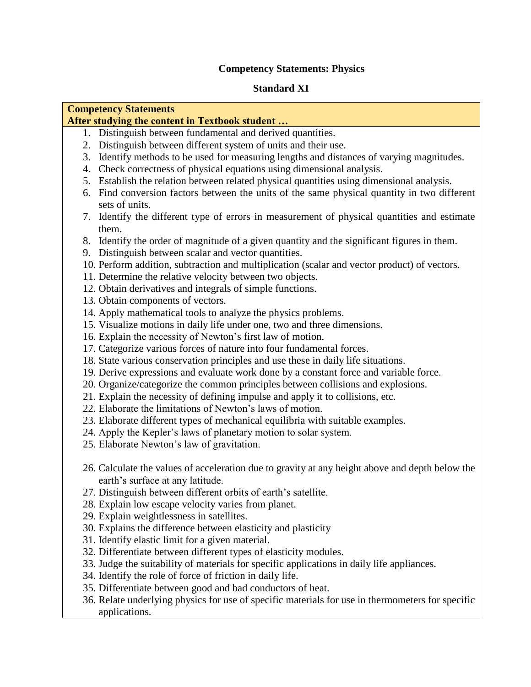### **Competency Statements: Physics**

# **Standard XI**

### **Competency Statements**

### **After studying the content in Textbook student …**

- 1. Distinguish between fundamental and derived quantities.
- 2. Distinguish between different system of units and their use.
- 3. Identify methods to be used for measuring lengths and distances of varying magnitudes.
- 4. Check correctness of physical equations using dimensional analysis.
- 5. Establish the relation between related physical quantities using dimensional analysis.
- 6. Find conversion factors between the units of the same physical quantity in two different sets of units.
- 7. Identify the different type of errors in measurement of physical quantities and estimate them.
- 8. Identify the order of magnitude of a given quantity and the significant figures in them.
- 9. Distinguish between scalar and vector quantities.
- 10. Perform addition, subtraction and multiplication (scalar and vector product) of vectors.
- 11. Determine the relative velocity between two objects.
- 12. Obtain derivatives and integrals of simple functions.
- 13. Obtain components of vectors.
- 14. Apply mathematical tools to analyze the physics problems.
- 15. Visualize motions in daily life under one, two and three dimensions.
- 16. Explain the necessity of Newton's first law of motion.
- 17. Categorize various forces of nature into four fundamental forces.
- 18. State various conservation principles and use these in daily life situations.
- 19. Derive expressions and evaluate work done by a constant force and variable force.
- 20. Organize/categorize the common principles between collisions and explosions.
- 21. Explain the necessity of defining impulse and apply it to collisions, etc.
- 22. Elaborate the limitations of Newton's laws of motion.
- 23. Elaborate different types of mechanical equilibria with suitable examples.
- 24. Apply the Kepler's laws of planetary motion to solar system.
- 25. Elaborate Newton's law of gravitation.
- 26. Calculate the values of acceleration due to gravity at any height above and depth below the earth's surface at any latitude.
- 27. Distinguish between different orbits of earth's satellite.
- 28. Explain low escape velocity varies from planet.
- 29. Explain weightlessness in satellites.
- 30. Explains the difference between elasticity and plasticity
- 31. Identify elastic limit for a given material.
- 32. Differentiate between different types of elasticity modules.
- 33. Judge the suitability of materials for specific applications in daily life appliances.
- 34. Identify the role of force of friction in daily life.
- 35. Differentiate between good and bad conductors of heat.
- 36. Relate underlying physics for use of specific materials for use in thermometers for specific applications.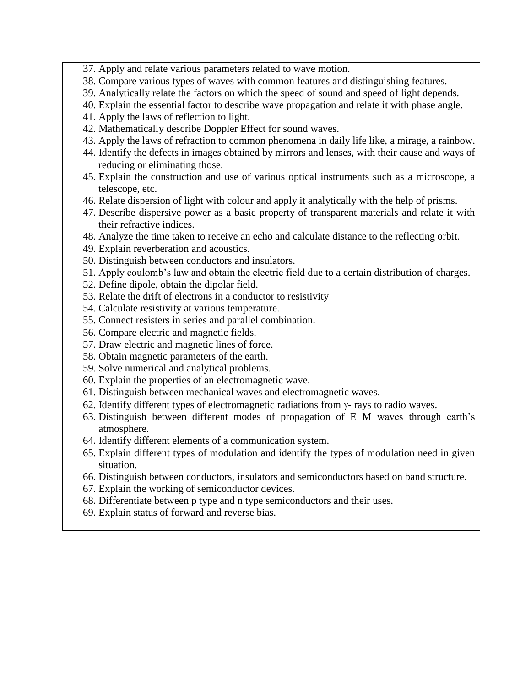- 37. Apply and relate various parameters related to wave motion.
- 38. Compare various types of waves with common features and distinguishing features.
- 39. Analytically relate the factors on which the speed of sound and speed of light depends.
- 40. Explain the essential factor to describe wave propagation and relate it with phase angle.
- 41. Apply the laws of reflection to light.
- 42. Mathematically describe Doppler Effect for sound waves.
- 43. Apply the laws of refraction to common phenomena in daily life like, a mirage, a rainbow.
- 44. Identify the defects in images obtained by mirrors and lenses, with their cause and ways of reducing or eliminating those.
- 45. Explain the construction and use of various optical instruments such as a microscope, a telescope, etc.
- 46. Relate dispersion of light with colour and apply it analytically with the help of prisms.
- 47. Describe dispersive power as a basic property of transparent materials and relate it with their refractive indices.
- 48. Analyze the time taken to receive an echo and calculate distance to the reflecting orbit.
- 49. Explain reverberation and acoustics.
- 50. Distinguish between conductors and insulators.
- 51. Apply coulomb's law and obtain the electric field due to a certain distribution of charges.
- 52. Define dipole, obtain the dipolar field.
- 53. Relate the drift of electrons in a conductor to resistivity
- 54. Calculate resistivity at various temperature.
- 55. Connect resisters in series and parallel combination.
- 56. Compare electric and magnetic fields.
- 57. Draw electric and magnetic lines of force.
- 58. Obtain magnetic parameters of the earth.
- 59. Solve numerical and analytical problems.
- 60. Explain the properties of an electromagnetic wave.
- 61. Distinguish between mechanical waves and electromagnetic waves.
- 62. Identify different types of electromagnetic radiations from  $\gamma$ -rays to radio waves.
- 63. Distinguish between different modes of propagation of E M waves through earth's atmosphere.
- 64. Identify different elements of a communication system.
- 65. Explain different types of modulation and identify the types of modulation need in given situation.
- 66. Distinguish between conductors, insulators and semiconductors based on band structure.
- 67. Explain the working of semiconductor devices.
- 68. Differentiate between p type and n type semiconductors and their uses.
- 69. Explain status of forward and reverse bias.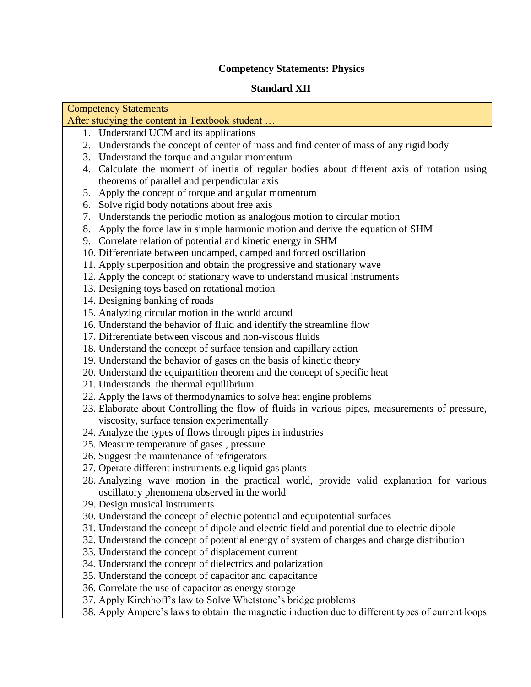### **Competency Statements: Physics**

## **Standard XII**

Competency Statements

After studying the content in Textbook student …

- 1. Understand UCM and its applications
- 2. Understands the concept of center of mass and find center of mass of any rigid body
- 3. Understand the torque and angular momentum
- 4. Calculate the moment of inertia of regular bodies about different axis of rotation using theorems of parallel and perpendicular axis
- 5. Apply the concept of torque and angular momentum
- 6. Solve rigid body notations about free axis
- 7. Understands the periodic motion as analogous motion to circular motion
- 8. Apply the force law in simple harmonic motion and derive the equation of SHM
- 9. Correlate relation of potential and kinetic energy in SHM
- 10. Differentiate between undamped, damped and forced oscillation
- 11. Apply superposition and obtain the progressive and stationary wave
- 12. Apply the concept of stationary wave to understand musical instruments
- 13. Designing toys based on rotational motion
- 14. Designing banking of roads
- 15. Analyzing circular motion in the world around
- 16. Understand the behavior of fluid and identify the streamline flow
- 17. Differentiate between viscous and non-viscous fluids
- 18. Understand the concept of surface tension and capillary action
- 19. Understand the behavior of gases on the basis of kinetic theory
- 20. Understand the equipartition theorem and the concept of specific heat
- 21. Understands the thermal equilibrium
- 22. Apply the laws of thermodynamics to solve heat engine problems
- 23. Elaborate about Controlling the flow of fluids in various pipes, measurements of pressure, viscosity, surface tension experimentally
- 24. Analyze the types of flows through pipes in industries
- 25. Measure temperature of gases , pressure
- 26. Suggest the maintenance of refrigerators
- 27. Operate different instruments e.g liquid gas plants
- 28. Analyzing wave motion in the practical world, provide valid explanation for various oscillatory phenomena observed in the world
- 29. Design musical instruments
- 30. Understand the concept of electric potential and equipotential surfaces
- 31. Understand the concept of dipole and electric field and potential due to electric dipole
- 32. Understand the concept of potential energy of system of charges and charge distribution
- 33. Understand the concept of displacement current
- 34. Understand the concept of dielectrics and polarization
- 35. Understand the concept of capacitor and capacitance
- 36. Correlate the use of capacitor as energy storage
- 37. Apply Kirchhoff's law to Solve Whetstone's bridge problems
- 38. Apply Ampere's laws to obtain the magnetic induction due to different types of current loops